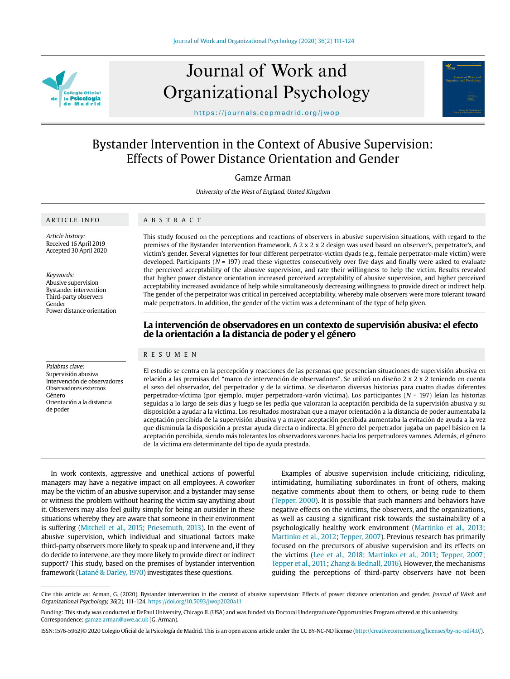

# Journal of Work and Organizational Psychology



https://journals.copmadrid.org/jwop

# Bystander Intervention in the Context of Abusive Supervision: Effects of Power Distance Orientation and Gender

Gamze Arman

University of the West of England, United Kingdom

# ARTICLE INFO

Article history: Received 16 April 2019 Accepted 30 April 2020

Keywords:

Abusive supervision Bystander intervention Third-party observers Gender Power distance orientation

Palabras clave: Supervisión abusiva Intervención de observadores Observadores externos Género Orientación a la distancia de poder

This study focused on the perceptions and reactions of observers in abusive supervision situations, with regard to the

premises of the Bystander Intervention Framework. A 2 x 2 x 2 design was used based on observer's, perpetrator's, and victim's gender. Several vignettes for four different perpetrator-victim dyads (e.g., female perpetrator-male victim) were developed. Participants ( $N = 197$ ) read these vignettes consecutively over five days and finally were asked to evaluate the perceived acceptability of the abusive supervision, and rate their willingness to help the victim. Results revealed that higher power distance orientation increased perceived acceptability of abusive supervision, and higher perceived acceptability increased avoidance of help while simultaneously decreasing willingness to provide direct or indirect help. The gender of the perpetrator was critical in perceived acceptability, whereby male observers were more tolerant toward male perpetrators. In addition, the gender of the victim was a determinant of the type of help given.

# **La intervención de observadores en un contexto de supervisión abusiva: el efecto de la orientación a la distancia de poder y el género**

#### RESUMEN

ABSTRACT

El estudio se centra en la percepción y reacciones de las personas que presencian situaciones de supervisión abusiva en relación a las premisas del "marco de intervención de observadores". Se utilizó un diseño 2 x 2 x 2 teniendo en cuenta el sexo del observador, del perpetrador y de la víctima. Se diseñaron diversas historias para cuatro diadas diferentes perpetrador-víctima (por ejemplo, mujer perpetradora-varón víctima). Los participantes (N = 197) leían las historias seguidas a lo largo de seis días y luego se les pedía que valoraran la aceptación percibida de la supervisión abusiva y su disposición a ayudar a la víctima. Los resultados mostraban que a mayor orientación a la distancia de poder aumentaba la aceptación percibida de la supervisión abusiva y a mayor aceptación percibida aumentaba la evitación de ayuda a la vez que disminuía la disposición a prestar ayuda directa o indirecta. El género del perpetrador jugaba un papel básico en la aceptación percibida, siendo más tolerantes los observadores varones hacia los perpetradores varones. Además, el género de la víctima era determinante del tipo de ayuda prestada.

In work contexts, aggressive and unethical actions of powerful managers may have a negative impact on all employees. A coworker may be the victim of an abusive supervisor, and a bystander may sense or witness the problem without hearing the victim say anything about it. Observers may also feel guilty simply for being an outsider in these situations whereby they are aware that someone in their environment is suffering (Mitchell et al., 2015; Priesemuth, 2013). In the event of abusive supervision, which individual and situational factors make third-party observers more likely to speak up and intervene and, if they do decide to intervene, are they more likely to provide direct or indirect support? This study, based on the premises of bystander intervention framework (Latané & Darley, 1970) investigates these questions.

Examples of abusive supervision include criticizing, ridiculing, intimidating, humiliating subordinates in front of others, making negative comments about them to others, or being rude to them (Tepper, 2000). It is possible that such manners and behaviors have negative effects on the victims, the observers, and the organizations, as well as causing a significant risk towards the sustainability of a psychologically healthy work environment (Martinko et al., 2013; Martinko et al., 2012; Tepper, 2007). Previous research has primarily focused on the precursors of abusive supervision and its effects on the victims (Lee et al., 2018; Martinko et al., 2013; Tepper, 2007; Tepper et al., 2011; Zhang & Bednall, 2016). However, the mechanisms guiding the perceptions of third-party observers have not been

Cite this article as: Arman, G. (2020). Bystander intervention in the context of abusive supervision: Effects of power distance orientation and gender. Journal of Work and Organizational Psychology, 36(2), 111-124. https://doi.org/10.5093/jwop2020a11

Funding: This study was conducted at DePaul University, Chicago IL (USA) and was funded via Doctoral Undergraduate Opportunities Program offered at this university. Correspondence: gamze.arman@uwe.ac.uk (G. Arman).

ISSN:1576-5962/© 2020 Colegio Oficial de la Psicología de Madrid. This is an open access article under the CC BY-NC-ND license (http://creativecommons.org/licenses/by-nc-nd/4.0/).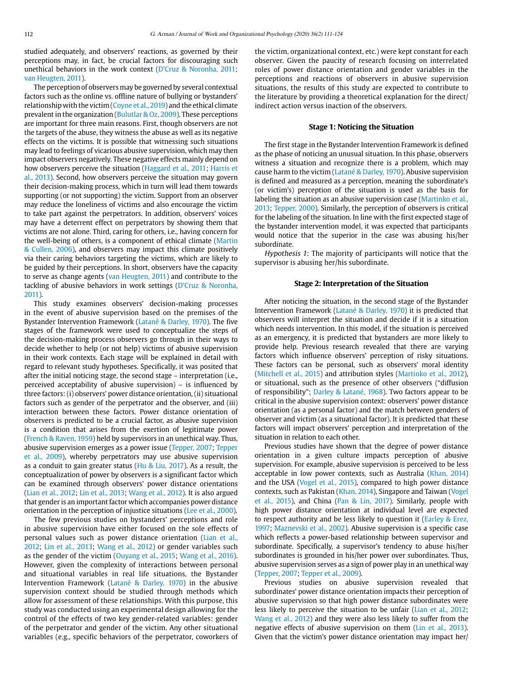studied adequately, and observers' reactions, as governed by their perceptions may, in fact, be crucial factors for discouraging such unethical behaviors in the work context (D'Cruz & Noronha, 2011; van Heugten, 2011).

The perception of observers may be governed by several contextual factors such as the online vs. offline nature of bullying or bystanders' relationship with the victim (Coyne et al., 2019) and the ethical climate prevalent in the organization (Bulutlar & Oz, 2009). These perceptions are important for three main reasons. First, though observers are not the targets of the abuse, they witness the abuse as well as its negative effects on the victims. It is possible that witnessing such situations may lead to feelings of vicarious abusive supervision, which may then impact observers negatively. These negative effects mainly depend on how observers perceive the situation (Haggard et al., 2011; Harris et al., 2013). Second, how observers perceive the situation may govern their decision-making process, which in turn will lead them towards supporting (or not supporting) the victim. Support from an observer may reduce the loneliness of victims and also encourage the victim to take part against the perpetrators. In addition, observers' voices may have a deterrent effect on perpetrators by showing them that victims are not alone. Third, caring for others, i.e., having concern for the well-being of others, is a component of ethical climate (Martin & Cullen, 2006), and observers may impact this climate positively via their caring behaviors targeting the victims, which are likely to be guided by their perceptions. In short, observers have the capacity to serve as change agents (van Heugten, 2011) and contribute to the tackling of abusive behaviors in work settings (D'Cruz & Noronha, 2011).

This study examines observers' decision-making processes in the event of abusive supervision based on the premises of the Bystander Intervention Framework (Latané & Darley, 1970). The five stages of the framework were used to conceptualize the steps of the decision-making process observers go through in their ways to decide whether to help (or not help) victims of abusive supervision in their work contexts. Each stage will be explained in detail with regard to relevant study hypotheses. Specifically, it was posited that after the initial noticing stage, the second stage – interpretation (i.e., perceived acceptability of abusive supervision) – is influenced by three factors: (i) observers' power distance orientation, (ii) situational factors such as gender of the perpetrator and the observer, and (iii) interaction between these factors. Power distance orientation of observers is predicted to be a crucial factor, as abusive supervision is a condition that arises from the exertion of legitimate power (French & Raven, 1959) held by supervisors in an unethical way. Thus, abusive supervision emerges as a power issue (Tepper, 2007; Tepper et al., 2009), whereby perpetrators may use abusive supervision as a conduit to gain greater status ( $Hu & Liu$ , 2017). As a result, the conceptualization of power by observers is a significant factor which can be examined through observers' power distance orientations (Lian et al., 2012; Lin et al., 2013; Wang et al., 2012). It is also argued that gender is an important factor which accompanies power distance orientation in the perception of injustice situations (Lee et al., 2000).

The few previous studies on bystanders' perceptions and role in abusive supervision have either focused on the sole effects of personal values such as power distance orientation (Lian et al., 2012; Lin et al., 2013; Wang et al., 2012) or gender variables such as the gender of the victim (Ouyang et al., 2015; Wang et al., 2016). However, given the complexity of interactions between personal and situational variables in real life situations, the Bystander Intervention Framework (Latané & Darley, 1970) in the abusive supervision context should be studied through methods which allow for assessment of these relationships. With this purpose, this study was conducted using an experimental design allowing for the control of the effects of two key gender-related variables: gender of the perpetrator and gender of the victim. Any other situational variables (e.g., specific behaviors of the perpetrator, coworkers of the victim, organizational context, etc.) were kept constant for each observer. Given the paucity of research focusing on interrelated roles of power distance orientation and gender variables in the perceptions and reactions of observers in abusive supervision situations, the results of this study are expected to contribute to the literature by providing a theoretical explanation for the direct/ indirect action versus inaction of the observers.

# **Stage 1: Noticing the Situation**

The first stage in the Bystander Intervention Framework is defined as the phase of noticing an unusual situation. In this phase, observers witness a situation and recognize there is a problem, which may cause harm to the victim (Latané & Darley, 1970). Abusive supervision is defined and measured as a perception, meaning the subordinate's (or victim's) perception of the situation is used as the basis for labeling the situation as an abusive supervision case (Martinko et al., 2013; Tepper, 2000). Similarly, the perception of observers is critical for the labeling of the situation. In line with the first expected stage of the bystander intervention model, it was expected that participants would notice that the superior in the case was abusing his/her subordinate.

Hypothesis 1: The majority of participants will notice that the supervisor is abusing her/his subordinate.

# **Stage 2: Interpretation of the Situation**

After noticing the situation, in the second stage of the Bystander Intervention Framework (Latané & Darley, 1970) it is predicted that observers will interpret the situation and decide if it is a situation which needs intervention. In this model, if the situation is perceived as an emergency, it is predicted that bystanders are more likely to provide help. Previous research revealed that there are varying factors which influence observers' perception of risky situations. These factors can be personal, such as observers' moral identity (Mitchell et al., 2015) and attribution styles (Martinko et al., 2012), or situational, such as the presence of other observers ("diffusion of responsibility"; Darley & Latané, 1968). Two factors appear to be critical in the abusive supervision context: observers' power distance orientation (as a personal factor) and the match between genders of observer and victim (as a situational factor). It is predicted that these factors will impact observers' perception and interpretation of the situation in relation to each other.

Previous studies have shown that the degree of power distance orientation in a given culture impacts perception of abusive supervision. For example, abusive supervision is perceived to be less acceptable in low power contexts, such as Australia (Khan, 2014) and the USA (Vogel et al., 2015), compared to high power distance contexts, such as Pakistan (Khan, 2014), Singapore and Taiwan (Vogel et al., 2015), and China (Pan & Lin, 2017). Similarly, people with high power distance orientation at individual level are expected to respect authority and be less likely to question it (Earley & Erez, 1997; Maznevski et al., 2002). Abusive supervision is a specific case which reflects a power-based relationship between supervisor and subordinate. Specifically, a supervisor's tendency to abuse his/her subordinates is grounded in his/her power over subordinates. Thus, abusive supervision serves as a sign of power play in an unethical way (Tepper, 2007; Tepper et al., 2009).

Previous studies on abusive supervision revealed that subordinates' power distance orientation impacts their perception of abusive supervision so that high power distance subordinates were less likely to perceive the situation to be unfair (Lian et al., 2012; Wang et al., 2012) and they were also less likely to suffer from the negative effects of abusive supervision on them (Lin et al., 2013). Given that the victim's power distance orientation may impact her/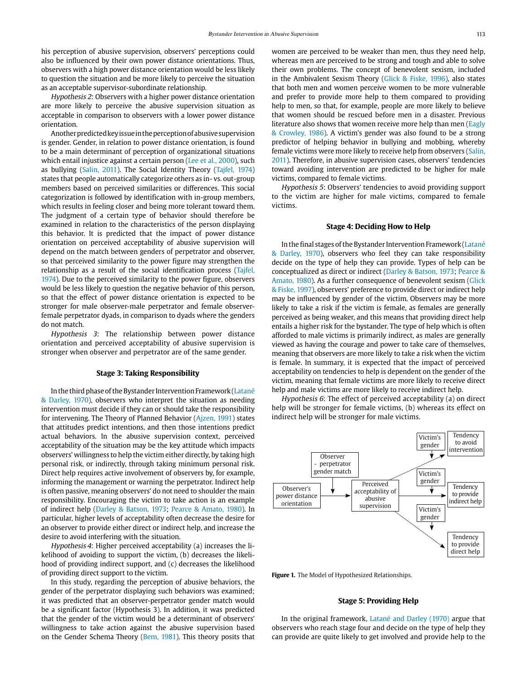his perception of abusive supervision, observers' perceptions could also be influenced by their own power distance orientations. Thus, observers with a high power distance orientation would be less likely to question the situation and be more likely to perceive the situation as an acceptable supervisor-subordinate relationship.

Hypothesis 2: Observers with a higher power distance orientation are more likely to perceive the abusive supervision situation as acceptable in comparison to observers with a lower power distance orientation.

Another predicted key issue in the perception of abusive supervision is gender. Gender, in relation to power distance orientation, is found to be a main determinant of perception of organizational situations which entail injustice against a certain person (Lee et al., 2000), such as bullying (Salin, 2011). The Social Identity Theory (Tajfel, 1974) states that people automatically categorize others as in- vs. out-group members based on perceived similarities or differences. This social categorization is followed by identification with in-group members, which results in feeling closer and being more tolerant toward them. The judgment of a certain type of behavior should therefore be examined in relation to the characteristics of the person displaying this behavior. It is predicted that the impact of power distance orientation on perceived acceptability of abusive supervision will depend on the match between genders of perpetrator and observer, so that perceived similarity to the power figure may strengthen the relationship as a result of the social identification process (Tajfel, 1974). Due to the perceived similarity to the power figure, observers would be less likely to question the negative behavior of this person, so that the effect of power distance orientation is expected to be stronger for male observer-male perpetrator and female observerfemale perpetrator dyads, in comparison to dyads where the genders do not match.

Hypothesis 3: The relationship between power distance orientation and perceived acceptability of abusive supervision is stronger when observer and perpetrator are of the same gender.

#### **Stage 3: Taking Responsibility**

In the third phase of the Bystander Intervention Framework (Latané & Darley, 1970), observers who interpret the situation as needing intervention must decide if they can or should take the responsibility for intervening. The Theory of Planned Behavior (Ajzen, 1991) states that attitudes predict intentions, and then those intentions predict actual behaviors. In the abusive supervision context, perceived acceptability of the situation may be the key attitude which impacts observers' willingness to help the victim either directly, by taking high personal risk, or indirectly, through taking minimum personal risk. Direct help requires active involvement of observers by, for example, informing the management or warning the perpetrator. Indirect help is often passive, meaning observers' do not need to shoulder the main responsibility. Encouraging the victim to take action is an example of indirect help (Darley & Batson, 1973; Pearce & Amato, 1980). In particular, higher levels of acceptability often decrease the desire for an observer to provide either direct or indirect help, and increase the desire to avoid interfering with the situation.

Hypothesis 4: Higher perceived acceptability (a) increases the likelihood of avoiding to support the victim, (b) decreases the likelihood of providing indirect support, and (c) decreases the likelihood of providing direct support to the victim.

In this study, regarding the perception of abusive behaviors, the gender of the perpetrator displaying such behaviors was examined; it was predicted that an observer-perpetrator gender match would be a significant factor (Hypothesis 3). In addition, it was predicted that the gender of the victim would be a determinant of observers' willingness to take action against the abusive supervision based on the Gender Schema Theory (Bem, 1981). This theory posits that women are perceived to be weaker than men, thus they need help, whereas men are perceived to be strong and tough and able to solve their own problems. The concept of benevolent sexism, included in the Ambivalent Sexism Theory (Glick & Fiske, 1996), also states that both men and women perceive women to be more vulnerable and prefer to provide more help to them compared to providing help to men, so that, for example, people are more likely to believe that women should be rescued before men in a disaster. Previous literature also shows that women receive more help than men (Eagly & Crowley, 1986). A victim's gender was also found to be a strong predictor of helping behavior in bullying and mobbing, whereby female victims were more likely to receive help from observers (Salin, 2011). Therefore, in abusive supervision cases, observers' tendencies toward avoiding intervention are predicted to be higher for male victims, compared to female victims.

Hypothesis 5: Observers' tendencies to avoid providing support to the victim are higher for male victims, compared to female victims.

# **Stage 4: Deciding How to Help**

In the final stages of the Bystander Intervention Framework (Latané & Darley, 1970), observers who feel they can take responsibility decide on the type of help they can provide. Types of help can be conceptualized as direct or indirect (Darley & Batson, 1973; Pearce & Amato, 1980). As a further consequence of benevolent sexism (Glick & Fiske, 1997), observers' preference to provide direct or indirect help may be influenced by gender of the victim. Observers may be more likely to take a risk if the victim is female, as females are generally perceived as being weaker, and this means that providing direct help entails a higher risk for the bystander. The type of help which is often afforded to male victims is primarily indirect, as males are generally viewed as having the courage and power to take care of themselves, meaning that observers are more likely to take a risk when the victim is female. In summary, it is expected that the impact of perceived acceptability on tendencies to help is dependent on the gender of the victim, meaning that female victims are more likely to receive direct help and male victims are more likely to receive indirect help.

Hypothesis 6: The effect of perceived acceptability (a) on direct help will be stronger for female victims, (b) whereas its effect on indirect help will be stronger for male victims.



**Figure 1.** The Model of Hypothesized Relationships.

# **Stage 5: Providing Help**

In the original framework, Latané and Darley (1970) argue that observers who reach stage four and decide on the type of help they can provide are quite likely to get involved and provide help to the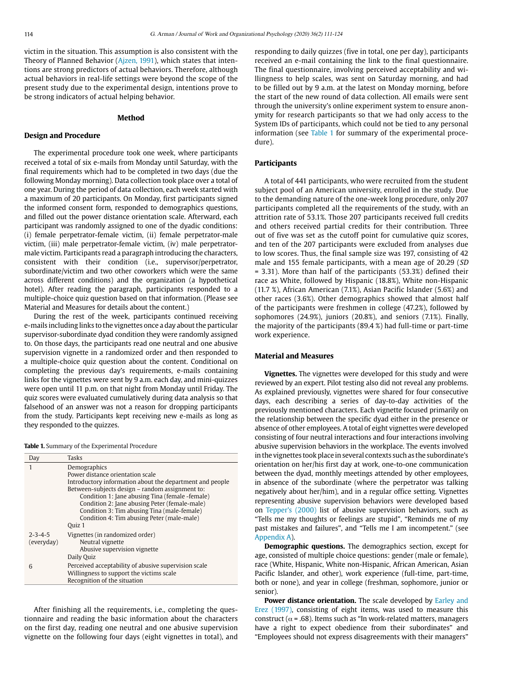victim in the situation. This assumption is also consistent with the Theory of Planned Behavior (Ajzen, 1991), which states that intentions are strong predictors of actual behaviors. Therefore, although actual behaviors in real-life settings were beyond the scope of the present study due to the experimental design, intentions prove to be strong indicators of actual helping behavior.

# **Method**

#### **Design and Procedure**

The experimental procedure took one week, where participants received a total of six e-mails from Monday until Saturday, with the final requirements which had to be completed in two days (due the following Monday morning). Data collection took place over a total of one year. During the period of data collection, each week started with a maximum of 20 participants. On Monday, first participants signed the informed consent form, responded to demographics questions, and filled out the power distance orientation scale. Afterward, each participant was randomly assigned to one of the dyadic conditions: (i) female perpetrator-female victim, (ii) female perpetrator-male victim, (iii) male perpetrator-female victim, (iv) male perpetratormale victim. Participants read a paragraph introducing the characters, consistent with their condition (i.e., supervisor/perpetrator, subordinate/victim and two other coworkers which were the same across different conditions) and the organization (a hypothetical hotel). After reading the paragraph, participants responded to a multiple-choice quiz question based on that information. (Please see Material and Measures for details about the content.)

During the rest of the week, participants continued receiving e-mails including links to the vignettes once a day about the particular supervisor-subordinate dyad condition they were randomly assigned to. On those days, the participants read one neutral and one abusive supervision vignette in a randomized order and then responded to a multiple-choice quiz question about the content. Conditional on completing the previous day's requirements, e-mails containing links for the vignettes were sent by 9 a.m. each day, and mini-quizzes were open until 11 p.m. on that night from Monday until Friday. The quiz scores were evaluated cumulatively during data analysis so that falsehood of an answer was not a reason for dropping participants from the study. Participants kept receiving new e-mails as long as they responded to the quizzes.

**Table 1.** Summary of the Experimental Procedure

| Day             | Tasks                                                    |
|-----------------|----------------------------------------------------------|
| 1               | Demographics                                             |
|                 | Power distance orientation scale                         |
|                 | Introductory information about the department and people |
|                 | Between-subjects design – random assignment to:          |
|                 | Condition 1: Jane abusing Tina (female -female)          |
|                 | Condition 2: Jane abusing Peter (female-male)            |
|                 | Condition 3: Tim abusing Tina (male-female)              |
|                 | Condition 4: Tim abusing Peter (male-male)               |
|                 | Quiz 1                                                   |
| $2 - 3 - 4 - 5$ | Vignettes (in randomized order)                          |
| (everyday)      | Neutral vignette                                         |
|                 | Abusive supervision vignette                             |
|                 | Daily Quiz                                               |
| 6               | Perceived acceptability of abusive supervision scale     |
|                 | Willingness to support the victims scale                 |
|                 | Recognition of the situation                             |

After finishing all the requirements, i.e., completing the questionnaire and reading the basic information about the characters on the first day, reading one neutral and one abusive supervision vignette on the following four days (eight vignettes in total), and responding to daily quizzes (five in total, one per day), participants received an e-mail containing the link to the final questionnaire. The final questionnaire, involving perceived acceptability and willingness to help scales, was sent on Saturday morning, and had to be filled out by 9 a.m. at the latest on Monday morning, before the start of the new round of data collection. All emails were sent through the university's online experiment system to ensure anonymity for research participants so that we had only access to the System IDs of participants, which could not be tied to any personal information (see Table 1 for summary of the experimental procedure).

# **Participants**

A total of 441 participants, who were recruited from the student subject pool of an American university, enrolled in the study. Due to the demanding nature of the one-week long procedure, only 207 participants completed all the requirements of the study, with an attrition rate of 53.1%. Those 207 participants received full credits and others received partial credits for their contribution. Three out of five was set as the cutoff point for cumulative quiz scores, and ten of the 207 participants were excluded from analyses due to low scores. Thus, the final sample size was 197, consisting of 42 male and 155 female participants, with a mean age of 20.29 (SD = 3.31). More than half of the participants (53.3%) defined their race as White, followed by Hispanic (18.8%), White non-Hispanic (11.7 %), African American (7.1%), Asian Pacific Islander (5.6%) and other races (3.6%). Other demographics showed that almost half of the participants were freshmen in college (47.2%), followed by sophomores (24.9%), juniors (20.8%), and seniors (7.1%). Finally, the majority of the participants (89.4 %) had full-time or part-time work experience.

#### **Material and Measures**

**Vignettes.** The vignettes were developed for this study and were reviewed by an expert. Pilot testing also did not reveal any problems. As explained previously, vignettes were shared for four consecutive days, each describing a series of day-to-day activities of the previously mentioned characters. Each vignette focused primarily on the relationship between the specific dyad either in the presence or absence of other employees. A total of eight vignettes were developed consisting of four neutral interactions and four interactions involving abusive supervision behaviors in the workplace. The events involved in the vignettes took place in several contexts such as the subordinate's orientation on her/his first day at work, one-to-one communication between the dyad, monthly meetings attended by other employees, in absence of the subordinate (where the perpetrator was talking negatively about her/him), and in a regular office setting. Vignettes representing abusive supervision behaviors were developed based on Tepper's (2000) list of abusive supervision behaviors, such as "Tells me my thoughts or feelings are stupid", "Reminds me of my past mistakes and failures", and "Tells me I am incompetent." (see Appendix A).

**Demographic questions.** The demographics section, except for age, consisted of multiple choice questions: gender (male or female), race (White, Hispanic, White non-Hispanic, African American, Asian Pacific Islander, and other), work experience (full-time, part-time, both or none), and year in college (freshman, sophomore, junior or senior).

Power distance orientation. The scale developed by Earley and Erez (1997), consisting of eight items, was used to measure this construct ( $\alpha$  = .68). Items such as "In work-related matters, managers have a right to expect obedience from their subordinates" and "Employees should not express disagreements with their managers"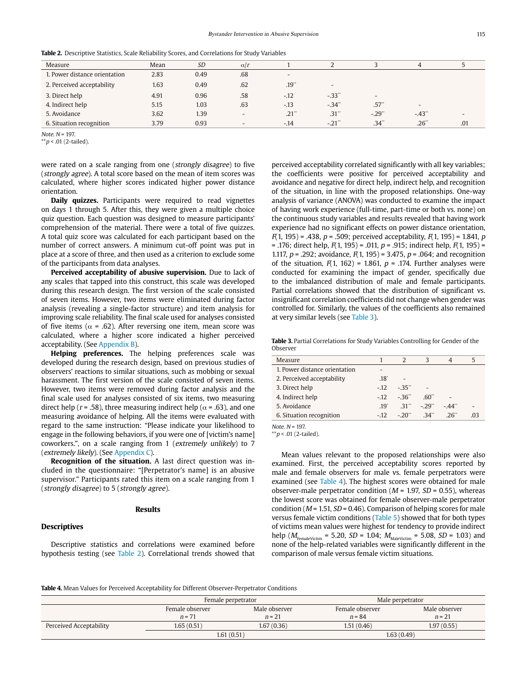| Table 2. Descriptive Statistics, Scale Reliability Scores, and Correlations for Study Variables |  |  |
|-------------------------------------------------------------------------------------------------|--|--|
|-------------------------------------------------------------------------------------------------|--|--|

| Measure                       | Mean | <b>SD</b> | $\alpha/r$               |                          |                          |                | 4                        |     |
|-------------------------------|------|-----------|--------------------------|--------------------------|--------------------------|----------------|--------------------------|-----|
| 1. Power distance orientation | 2.83 | 0.49      | .68                      | $\overline{\phantom{a}}$ |                          |                |                          |     |
| 2. Perceived acceptability    | 1.63 | 0.49      | .62                      | .19"                     | $\overline{\phantom{a}}$ |                |                          |     |
| 3. Direct help                | 4.91 | 0.96      | .58                      | $-.12$                   | $-33"$                   | $\overline{a}$ |                          |     |
| 4. Indirect help              | 5.15 | 1.03      | .63                      | $-.13$                   | $-34"$                   | .57"           | $\overline{\phantom{a}}$ |     |
| 5. Avoidance                  | 3.62 | 1.39      | $\overline{\phantom{a}}$ | $.21$ "                  | .31"                     | $-29"$         | $-43$                    |     |
| 6. Situation recognition      | 3.79 | 0.93      |                          | $-.14$                   | $-.21$ <sup>**</sup>     | .34"           | .26"                     | .01 |

 $Note\ N = 197$ 

\*\* $p$  < .01 (2-tailed).

were rated on a scale ranging from one (strongly disagree) to five (strongly agree). A total score based on the mean of item scores was calculated, where higher scores indicated higher power distance orientation.

**Daily quizzes.** Participants were required to read vignettes on days 1 through 5. After this, they were given a multiple choice quiz question. Each question was designed to measure participants' comprehension of the material. There were a total of five quizzes. A total quiz score was calculated for each participant based on the number of correct answers. A minimum cut-off point was put in place at a score of three, and then used as a criterion to exclude some of the participants from data analyses.

Perceived acceptability of abusive supervision. Due to lack of any scales that tapped into this construct, this scale was developed during this research design. The first version of the scale consisted of seven items. However, two items were eliminated during factor analysis (revealing a single-factor structure) and item analysis for improving scale reliability. The final scale used for analyses consisted of five items ( $\alpha$  = .62). After reversing one item, mean score was calculated, where a higher score indicated a higher perceived acceptability. (See Appendix B).

**Helping preferences.** The helping preferences scale was developed during the research design, based on previous studies of observers' reactions to similar situations, such as mobbing or sexual harassment. The first version of the scale consisted of seven items. However, two items were removed during factor analysis and the final scale used for analyses consisted of six items, two measuring direct help ( $r = .58$ ), three measuring indirect help ( $\alpha = .63$ ), and one measuring avoidance of helping. All the items were evaluated with regard to the same instruction: "Please indicate your likelihood to engage in the following behaviors, if you were one of [victim's name] coworkers.", on a scale ranging from 1 (extremely unlikely) to 7 (extremely likely). (See Appendix C).

**Recognition of the situation.** A last direct question was included in the questionnaire: "[Perpetrator's name] is an abusive supervisor." Participants rated this item on a scale ranging from 1 (strongly disagree) to 5 (strongly agree).

#### **Results**

#### **Descriptives**

Descriptive statistics and correlations were examined before hypothesis testing (see Table 2). Correlational trends showed that perceived acceptability correlated significantly with all key variables; the coefficients were positive for perceived acceptability and avoidance and negative for direct help, indirect help, and recognition of the situation, in line with the proposed relationships. One-way analysis of variance (ANOVA) was conducted to examine the impact of having work experience (full-time, part-time or both vs. none) on the continuous study variables and results revealed that having work experience had no significant effects on power distance orientation,  $F(1, 195) = .438$ ,  $p = .509$ ; perceived acceptability,  $F(1, 195) = 1.841$ ,  $p = 1.841$ = .176; direct help,  $F(1, 195)$  = .011,  $p$  = .915; indirect help,  $F(1, 195)$  = 1.117,  $p = 0.292$ ; avoidance,  $F(1, 195) = 3.475$ ,  $p = 0.064$ ; and recognition of the situation,  $F(1, 162) = 1.861$ ,  $p = .174$ . Further analyses were conducted for examining the impact of gender, specifically due to the imbalanced distribution of male and female participants. Partial correlations showed that the distribution of significant vs. insignificant correlation coefficients did not change when gender was controlled for. Similarly, the values of the coefficients also remained at very similar levels (see Table 3).

**Table 3.** Partial Correlations for Study Variables Controlling for Gender of the Observer

| Measure                       |               |        |        |        |     |
|-------------------------------|---------------|--------|--------|--------|-----|
| 1. Power distance orientation |               |        |        |        |     |
| 2. Perceived acceptability    | $.18^{\circ}$ |        |        |        |     |
| 3. Direct help                | $-12$         | $-35"$ |        |        |     |
| 4. Indirect help              | $-12.$        | $-36"$ | .60"   |        |     |
| 5. Avoidance                  | $19^{\circ}$  | $-31$  | $-29"$ | $-44"$ |     |
| 6. Situation recognition      | $-12.$        | - 20"  | 34"    | 26"    | -03 |
|                               |               |        |        |        |     |

Note.  $N = 197$ .

 $p$  < .01 (2-tailed).

Mean values relevant to the proposed relationships were also examined. First, the perceived acceptability scores reported by male and female observers for male vs. female perpetrators were examined (see Table 4). The highest scores were obtained for male observer-male perpetrator condition ( $M = 1.97$ ,  $SD = 0.55$ ), whereas the lowest score was obtained for female observer-male perpetrator condition ( $M = 1.51$ ,  $SD = 0.46$ ). Comparison of helping scores for male versus female victim conditions (Table 5) showed that for both types of victims mean values were highest for tendency to provide indirect help ( $M_{\text{FemaleVictim}}$  = 5.20, *SD* = 1.04;  $M_{\text{MaleVictim}}$  = 5.08, *SD* = 1.03) and none of the help-related variables were significantly different in the comparison of male versus female victim situations.

**Table 4.** Mean Values for Perceived Acceptability for Different Observer-Perpetrator Conditions

|                         | Female perpetrator          |                           | Male perpetrator            |                           |  |
|-------------------------|-----------------------------|---------------------------|-----------------------------|---------------------------|--|
|                         | Female observer<br>$n = 71$ | Male observer<br>$n = 21$ | Female observer<br>$n = 84$ | Male observer<br>$n = 21$ |  |
| Perceived Acceptability | 1.65(0.51)                  | 1.67(0.36)                | 1.51(0.46)                  | 1.97(0.55)                |  |
|                         | 1.61(0.51)                  |                           | 1.63(0.49)                  |                           |  |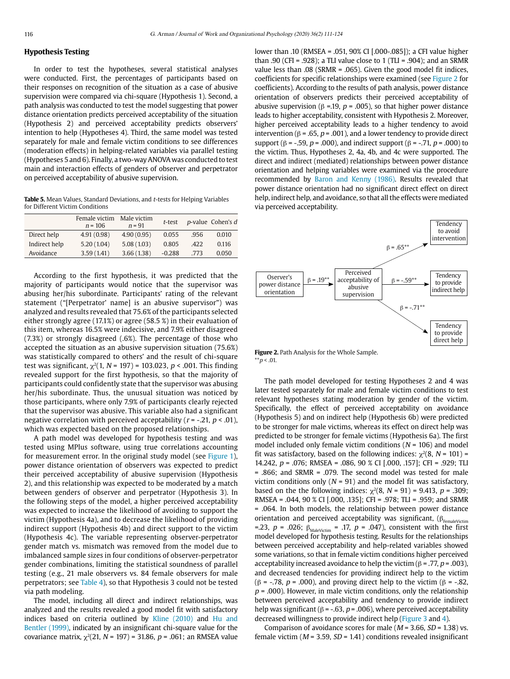# **Hypothesis Testing**

In order to test the hypotheses, several statistical analyses were conducted. First, the percentages of participants based on their responses on recognition of the situation as a case of abusive supervision were compared via chi-square (Hypothesis 1). Second, a path analysis was conducted to test the model suggesting that power distance orientation predicts perceived acceptability of the situation (Hypothesis 2) and perceived acceptability predicts observers' intention to help (Hypotheses 4). Third, the same model was tested separately for male and female victim conditions to see differences (moderation effects) in helping-related variables via parallel testing (Hypotheses 5 and 6). Finally, a two-way ANOVA was conducted to test main and interaction effects of genders of observer and perpetrator on perceived acceptability of abusive supervision.

**Table 5.** Mean Values, Standard Deviations, and t-tests for Helping Variables for Different Victim Conditions

|               | Female victim<br>$n = 106$ | Male victim<br>$n = 91$ | t-test   |      | p-value Cohen's d |
|---------------|----------------------------|-------------------------|----------|------|-------------------|
| Direct help   | 4.91(0.98)                 | 4.90(0.95)              | 0.055    | .956 | 0.010             |
| Indirect help | 5.20(1.04)                 | 5.08(1.03)              | 0.805    | 422  | 0.116             |
| Avoidance     | 3.59(1.41)                 | 3.66(1.38)              | $-0.288$ | .773 | 0.050             |

According to the first hypothesis, it was predicted that the majority of participants would notice that the supervisor was abusing her/his subordinate. Participants' rating of the relevant statement ("[Perpetrator' name] is an abusive supervisor") was analyzed and results revealed that 75.6% of the participants selected either strongly agree (17.1%) or agree (58.5 %) in their evaluation of this item, whereas 16.5% were indecisive, and 7.9% either disagreed (7.3%) or strongly disagreed (.6%). The percentage of those who accepted the situation as an abusive supervision situation (75.6%) was statistically compared to others' and the result of chi-square test was significant,  $\chi^2(1, N = 197) = 103.023$ ,  $p < .001$ . This finding revealed support for the first hypothesis, so that the majority of participants could confidently state that the supervisor was abusing her/his subordinate. Thus, the unusual situation was noticed by those participants, where only 7.9% of participants clearly rejected that the supervisor was abusive. This variable also had a significant negative correlation with perceived acceptability ( $r = -0.21$ ,  $p < 0.01$ ), which was expected based on the proposed relationships.

A path model was developed for hypothesis testing and was tested using MPlus software, using true correlations accounting for measurement error. In the original study model (see Figure 1), power distance orientation of observers was expected to predict their perceived acceptability of abusive supervision (Hypothesis 2), and this relationship was expected to be moderated by a match between genders of observer and perpetrator (Hypothesis 3). In the following steps of the model, a higher perceived acceptability was expected to increase the likelihood of avoiding to support the victim (Hypothesis 4a), and to decrease the likelihood of providing indirect support (Hypothesis 4b) and direct support to the victim (Hypothesis 4c). The variable representing observer-perpetrator gender match vs. mismatch was removed from the model due to imbalanced sample sizes in four conditions of observer-perpetrator gender combinations, limiting the statistical soundness of parallel testing (e.g., 21 male observers vs. 84 female observers for male perpetrators; see Table 4), so that Hypothesis 3 could not be tested via path modeling.

The model, including all direct and indirect relationships, was analyzed and the results revealed a good model fit with satisfactory indices based on criteria outlined by Kline (2010) and Hu and Bentler (1999), indicated by an insignificant chi-square value for the covariance matrix,  $\chi^2(21, N = 197) = 31.86$ ,  $p = .061$ ; an RMSEA value lower than .10 (RMSEA = .051, 90% CI [.000-.085]); a CFI value higher than .90 (CFI = .928); a TLI value close to 1 (TLI = .904); and an SRMR value less than .08 (SRMR = .065). Given the good model fit indices, coefficients for specific relationships were examined (see Figure 2 for coefficients). According to the results of path analysis, power distance orientation of observers predicts their perceived acceptability of abusive supervision ( $\beta$  =.19,  $p$  = .005), so that higher power distance leads to higher acceptability, consistent with Hypothesis 2. Moreover, higher perceived acceptability leads to a higher tendency to avoid intervention ( $\beta$  = .65,  $p$  = .001), and a lower tendency to provide direct support ( $\beta$  = -.59, p = .000), and indirect support ( $\beta$  = -.71, p = .000) to the victim. Thus, Hypotheses 2, 4a, 4b, and 4c were supported. The direct and indirect (mediated) relationships between power distance orientation and helping variables were examined via the procedure recommended by Baron and Kenny (1986). Results revealed that power distance orientation had no significant direct effect on direct help, indirect help, and avoidance, so that all the effects were mediated via perceived acceptability.



**Figure 2.** Path Analysis for the Whole Sample.  $*$  $p$  < .01.

The path model developed for testing Hypotheses 2 and 4 was later tested separately for male and female victim conditions to test relevant hypotheses stating moderation by gender of the victim. Specifically, the effect of perceived acceptability on avoidance (Hypothesis 5) and on indirect help (Hypothesis 6b) were predicted to be stronger for male victims, whereas its effect on direct help was predicted to be stronger for female victims (Hypothesis 6a). The first model included only female victim conditions ( $N = 106$ ) and model fit was satisfactory, based on the following indices:  $\chi^2(8, N = 101)$  = 14.242, p = .076; RMSEA = .086, 90 % CI [.000, .157]; CFI = .929; TLI = .866; and SRMR = .079. The second model was tested for male victim conditions only ( $N = 91$ ) and the model fit was satisfactory, based on the the following indices:  $\chi^2(8, N = 91) = 9.413$ ,  $p = .309$ ; RMSEA = .044, 90 % CI [.000, .135]; CFI = .978; TLI = .959; and SRMR = .064. In both models, the relationship between power distance orientation and perceived acceptability was significant,  $(\beta_{FemaleVictim})$ =.23,  $p = .026$ ;  $\beta_{\text{MaleVictim}} = .17$ ,  $p = .047$ ), consistent with the first model developed for hypothesis testing. Results for the relationships between perceived acceptability and help-related variables showed some variations, so that in female victim conditions higher perceived acceptability increased avoidance to help the victim ( $\beta$  = .77, p = .003), and decreased tendencies for providing indirect help to the victim ( $\beta$  = -.78,  $p$  = .000), and proving direct help to the victim ( $\beta$  = -.82,  $p = .000$ ). However, in male victim conditions, only the relationship between perceived acceptability and tendency to provide indirect help was significant ( $\beta$  = -.63,  $p$  = .006), where perceived acceptability decreased willingness to provide indirect help (Figure 3 and 4).

Comparison of avoidance scores for male ( $M = 3.66$ ,  $SD = 1.38$ ) vs. female victim ( $M = 3.59$ ,  $SD = 1.41$ ) conditions revealed insignificant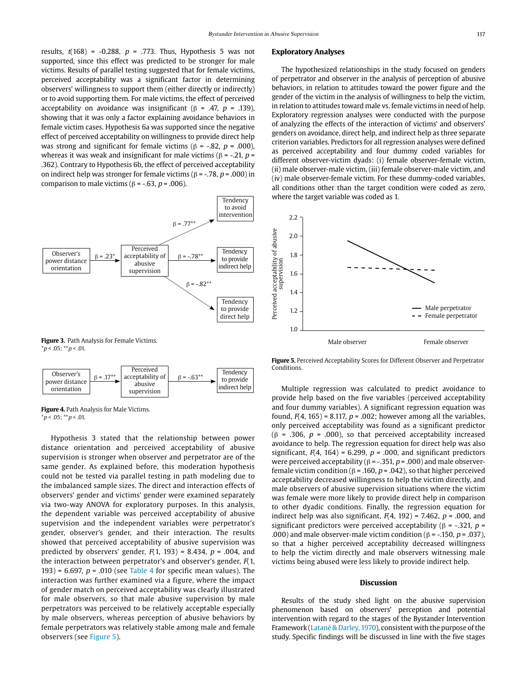results,  $t(168) = -0.288$ ,  $p = .773$ . Thus, Hypothesis 5 was not supported, since this effect was predicted to be stronger for male victims. Results of parallel testing suggested that for female victims, perceived acceptability was a significant factor in determining observers' willingness to support them (either directly or indirectly) or to avoid supporting them. For male victims, the effect of perceived acceptability on avoidance was insignificant ( $\beta$  = .47,  $p$  = .139), showing that it was only a factor explaining avoidance behaviors in female victim cases. Hypothesis 6a was supported since the negative effect of perceived acceptability on willingness to provide direct help was strong and significant for female victims ( $\beta$  = -.82, p = .000), whereas it was weak and insignificant for male victims  $(6 = -0.21, p = 0.21)$ .362). Contrary to Hypothesis 6b, the effect of perceived acceptability on indirect help was stronger for female victims ( $\beta$  = -.78, p = .000) in comparison to male victims ( $\beta$  = -.63, p = .006).







**Figure 4.** Path Analysis for Male Victims.  $*p < .05; **p < .01.$ 

Hypothesis 3 stated that the relationship between power distance orientation and perceived acceptability of abusive supervision is stronger when observer and perpetrator are of the same gender. As explained before, this moderation hypothesis could not be tested via parallel testing in path modeling due to the imbalanced sample sizes. The direct and interaction effects of observers' gender and victims' gender were examined separately via two-way ANOVA for exploratory purposes. In this analysis, the dependent variable was perceived acceptability of abusive supervision and the independent variables were perpetrator's gender, observer's gender, and their interaction. The results showed that perceived acceptability of abusive supervision was predicted by observers' gender,  $F(1, 193) = 8.434$ ,  $p = .004$ , and the interaction between perpetrator's and observer's gender,  $F(1, 1)$ 193) = 6.697,  $p = .010$  (see Table 4 for specific mean values). The interaction was further examined via a figure, where the impact of gender match on perceived acceptability was clearly illustrated for male observers, so that male abusive supervision by male perpetrators was perceived to be relatively acceptable especially by male observers, whereas perception of abusive behaviors by female perpetrators was relatively stable among male and female observers (see Figure 5).

#### **Exploratory Analyses**

The hypothesized relationships in the study focused on genders of perpetrator and observer in the analysis of perception of abusive behaviors, in relation to attitudes toward the power figure and the gender of the victim in the analysis of willingness to help the victim, in relation to attitudes toward male vs. female victims in need of help. Exploratory regression analyses were conducted with the purpose of analyzing the effects of the interaction of victims' and observers' genders on avoidance, direct help, and indirect help as three separate criterion variables. Predictors for all regression analyses were defined as perceived acceptability and four dummy coded variables for different observer-victim dyads: (i) female observer-female victim, (ii) male observer-male victim, (iii) female observer-male victim, and (iv) male observer-female victim. For these dummy-coded variables, all conditions other than the target condition were coded as zero, where the target variable was coded as 1.



**Figure 5.** Perceived Acceptability Scores for Different Observer and Perpetrator Conditions.

Multiple regression was calculated to predict avoidance to provide help based on the five variables (perceived acceptability and four dummy variables). A significant regression equation was found,  $F(4, 165) = 8.117$ ,  $p = .002$ ; however among all the variables, only perceived acceptability was found as a significant predictor ( $\beta$  = .306,  $p$  = .000), so that perceived acceptability increased avoidance to help. The regression equation for direct help was also significant,  $F(4, 164) = 6.299$ ,  $p = .000$ , and significant predictors were perceived acceptability ( $\beta$  = -.351, p = .000) and male observerfemale victim condition ( $\beta$  = .160,  $p$  = .042), so that higher perceived acceptability decreased willingness to help the victim directly, and male observers of abusive supervision situations where the victim was female were more likely to provide direct help in comparison to other dyadic conditions. Finally, the regression equation for indirect help was also significant,  $F(4, 192) = 7.462$ ,  $p = .000$ , and significant predictors were perceived acceptability ( $\beta$  = -.321, p = .000) and male observer-male victim condition ( $\beta$  = -.150,  $p$  = .037), so that a higher perceived acceptability decreased willingness to help the victim directly and male observers witnessing male victims being abused were less likely to provide indirect help.

#### **Discussion**

Results of the study shed light on the abusive supervision phenomenon based on observers' perception and potential intervention with regard to the stages of the Bystander Intervention Framework (Latané & Darley, 1970), consistent with the purpose of the study. Specific findings will be discussed in line with the five stages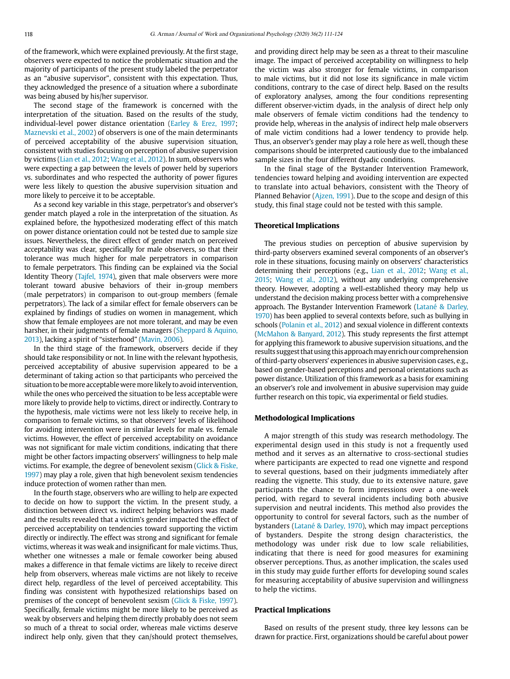of the framework, which were explained previously. At the first stage, observers were expected to notice the problematic situation and the majority of participants of the present study labeled the perpetrator as an "abusive supervisor", consistent with this expectation. Thus, they acknowledged the presence of a situation where a subordinate was being abused by his/her supervisor.

The second stage of the framework is concerned with the interpretation of the situation. Based on the results of the study, individual-level power distance orientation (Earley & Erez, 1997; Maznevski et al., 2002) of observers is one of the main determinants of perceived acceptability of the abusive supervision situation, consistent with studies focusing on perception of abusive supervision by victims (Lian et al., 2012; Wang et al., 2012). In sum, observers who were expecting a gap between the levels of power held by superiors vs. subordinates and who respected the authority of power figures were less likely to question the abusive supervision situation and more likely to perceive it to be acceptable.

As a second key variable in this stage, perpetrator's and observer's gender match played a role in the interpretation of the situation. As explained before, the hypothesized moderating effect of this match on power distance orientation could not be tested due to sample size issues. Nevertheless, the direct effect of gender match on perceived acceptability was clear, specifically for male observers, so that their tolerance was much higher for male perpetrators in comparison to female perpetrators. This finding can be explained via the Social Identity Theory (Tajfel, 1974), given that male observers were more tolerant toward abusive behaviors of their in-group members (male perpetrators) in comparison to out-group members (female perpetrators). The lack of a similar effect for female observers can be explained by findings of studies on women in management, which show that female employees are not more tolerant, and may be even harsher, in their judgments of female managers (Sheppard & Aquino, 2013), lacking a spirit of "sisterhood" (Mavin, 2006).

In the third stage of the framework, observers decide if they should take responsibility or not. In line with the relevant hypothesis, perceived acceptability of abusive supervision appeared to be a determinant of taking action so that participants who perceived the situation to be more acceptable were more likely to avoid intervention, while the ones who perceived the situation to be less acceptable were more likely to provide help to victims, direct or indirectly. Contrary to the hypothesis, male victims were not less likely to receive help, in comparison to female victims, so that observers' levels of likelihood for avoiding intervention were in similar levels for male vs. female victims. However, the effect of perceived acceptability on avoidance was not significant for male victim conditions, indicating that there might be other factors impacting observers' willingness to help male victims. For example, the degree of benevolent sexism (Glick & Fiske, 1997) may play a role, given that high benevolent sexism tendencies induce protection of women rather than men.

In the fourth stage, observers who are willing to help are expected to decide on how to support the victim. In the present study, a distinction between direct vs. indirect helping behaviors was made and the results revealed that a victim's gender impacted the effect of perceived acceptability on tendencies toward supporting the victim directly or indirectly. The effect was strong and significant for female victims, whereas it was weak and insignificant for male victims. Thus, whether one witnesses a male or female coworker being abused makes a difference in that female victims are likely to receive direct help from observers, whereas male victims are not likely to receive direct help, regardless of the level of perceived acceptability. This finding was consistent with hypothesized relationships based on premises of the concept of benevolent sexism (Glick & Fiske, 1997). Specifically, female victims might be more likely to be perceived as weak by observers and helping them directly probably does not seem so much of a threat to social order, whereas male victims deserve indirect help only, given that they can/should protect themselves, and providing direct help may be seen as a threat to their masculine image. The impact of perceived acceptability on willingness to help the victim was also stronger for female victims, in comparison to male victims, but it did not lose its significance in male victim conditions, contrary to the case of direct help. Based on the results of exploratory analyses, among the four conditions representing different observer-victim dyads, in the analysis of direct help only male observers of female victim conditions had the tendency to provide help, whereas in the analysis of indirect help male observers of male victim conditions had a lower tendency to provide help. Thus, an observer's gender may play a role here as well, though these comparisons should be interpreted cautiously due to the imbalanced sample sizes in the four different dyadic conditions.

In the final stage of the Bystander Intervention Framework, tendencies toward helping and avoiding intervention are expected to translate into actual behaviors, consistent with the Theory of Planned Behavior (Ajzen, 1991). Due to the scope and design of this study, this final stage could not be tested with this sample.

#### **Theoretical Implications**

The previous studies on perception of abusive supervision by third-party observers examined several components of an observer's role in these situations, focusing mainly on observers' characteristics determining their perceptions (e.g., Lian et al., 2012; Wang et al., 2015; Wang et al., 2012), without any underlying comprehensive theory. However, adopting a well-established theory may help us understand the decision making process better with a comprehensive approach. The Bystander Intervention Framework (Latané & Darley, 1970) has been applied to several contexts before, such as bullying in schools (Polanin et al., 2012) and sexual violence in different contexts (McMahon & Banyard, 2012). This study represents the first attempt for applying this framework to abusive supervision situations, and the results suggest that using this approach may enrich our comprehension of third-party observers' experiences in abusive supervision cases, e.g., based on gender-based perceptions and personal orientations such as power distance. Utilization of this framework as a basis for examining an observer's role and involvement in abusive supervision may guide further research on this topic, via experimental or field studies.

#### **Methodological Implications**

A major strength of this study was research methodology. The experimental design used in this study is not a frequently used method and it serves as an alternative to cross-sectional studies where participants are expected to read one vignette and respond to several questions, based on their judgments immediately after reading the vignette. This study, due to its extensive nature, gave participants the chance to form impressions over a one-week period, with regard to several incidents including both abusive supervision and neutral incidents. This method also provides the opportunity to control for several factors, such as the number of bystanders (Latané & Darley, 1970), which may impact perceptions of bystanders. Despite the strong design characteristics, the methodology was under risk due to low scale reliabilities, indicating that there is need for good measures for examining observer perceptions. Thus, as another implication, the scales used in this study may guide further efforts for developing sound scales for measuring acceptability of abusive supervision and willingness to help the victims.

#### **Practical Implications**

Based on results of the present study, three key lessons can be drawn for practice. First, organizations should be careful about power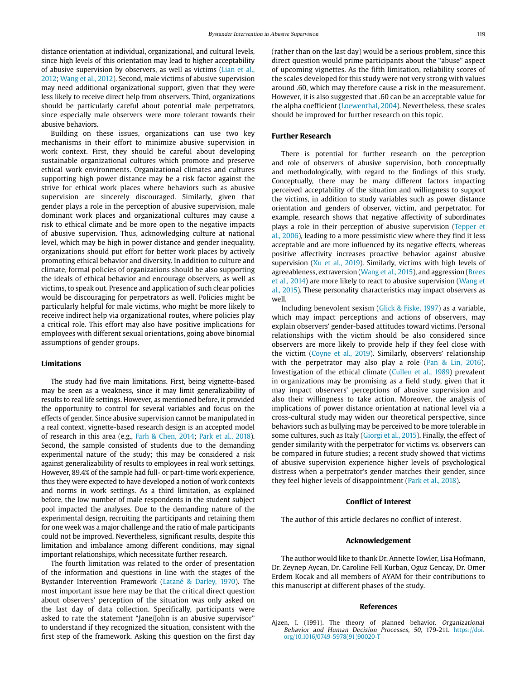distance orientation at individual, organizational, and cultural levels, since high levels of this orientation may lead to higher acceptability of abusive supervision by observers, as well as victims (Lian et al., 2012; Wang et al., 2012). Second, male victims of abusive supervision may need additional organizational support, given that they were less likely to receive direct help from observers. Third, organizations should be particularly careful about potential male perpetrators, since especially male observers were more tolerant towards their abusive behaviors.

Building on these issues, organizations can use two key mechanisms in their effort to minimize abusive supervision in work context. First, they should be careful about developing sustainable organizational cultures which promote and preserve ethical work environments. Organizational climates and cultures supporting high power distance may be a risk factor against the strive for ethical work places where behaviors such as abusive supervision are sincerely discouraged. Similarly, given that gender plays a role in the perception of abusive supervision, male dominant work places and organizational cultures may cause a risk to ethical climate and be more open to the negative impacts of abusive supervision. Thus, acknowledging culture at national level, which may be high in power distance and gender inequality, organizations should put effort for better work places by actively promoting ethical behavior and diversity. In addition to culture and climate, formal policies of organizations should be also supporting the ideals of ethical behavior and encourage observers, as well as victims, to speak out. Presence and application of such clear policies would be discouraging for perpetrators as well. Policies might be particularly helpful for male victims, who might be more likely to receive indirect help via organizational routes, where policies play a critical role. This effort may also have positive implications for employees with different sexual orientations, going above binomial assumptions of gender groups.

#### **Limitations**

The study had five main limitations. First, being vignette-based may be seen as a weakness, since it may limit generalizability of results to real life settings. However, as mentioned before, it provided the opportunity to control for several variables and focus on the effects of gender. Since abusive supervision cannot be manipulated in a real context, vignette-based research design is an accepted model of research in this area (e.g., Farh & Chen, 2014; Park et al., 2018). Second, the sample consisted of students due to the demanding experimental nature of the study; this may be considered a risk against generalizability of results to employees in real work settings. However, 89.4% of the sample had full- or part-time work experience, thus they were expected to have developed a notion of work contexts and norms in work settings. As a third limitation, as explained before, the low number of male respondents in the student subject pool impacted the analyses. Due to the demanding nature of the experimental design, recruiting the participants and retaining them for one week was a major challenge and the ratio of male participants could not be improved. Nevertheless, significant results, despite this limitation and imbalance among different conditions, may signal important relationships, which necessitate further research.

The fourth limitation was related to the order of presentation of the information and questions in line with the stages of the Bystander Intervention Framework (Latané & Darley, 1970). The most important issue here may be that the critical direct question about observers' perception of the situation was only asked on the last day of data collection. Specifically, participants were asked to rate the statement "Jane/John is an abusive supervisor" to understand if they recognized the situation, consistent with the first step of the framework. Asking this question on the first day (rather than on the last day) would be a serious problem, since this direct question would prime participants about the "abuse" aspect of upcoming vignettes. As the fifth limitation, reliability scores of the scales developed for this study were not very strong with values around .60, which may therefore cause a risk in the measurement. However, it is also suggested that .60 can be an acceptable value for the alpha coefficient (Loewenthal, 2004). Nevertheless, these scales should be improved for further research on this topic.

# **Further Research**

There is potential for further research on the perception and role of observers of abusive supervision, both conceptually and methodologically, with regard to the findings of this study. Conceptually, there may be many different factors impacting perceived acceptability of the situation and willingness to support the victims, in addition to study variables such as power distance orientation and genders of observer, victim, and perpetrator. For example, research shows that negative affectivity of subordinates plays a role in their perception of abusive supervision (Tepper et al., 2006), leading to a more pessimistic view where they find it less acceptable and are more influenced by its negative effects, whereas positive affectivity increases proactive behavior against abusive supervision ( $Xu$  et al., 2019). Similarly, victims with high levels of agreeableness, extraversion (Wang et al., 2015), and aggression (Brees et al., 2014) are more likely to react to abusive supervision (Wang et al., 2015). These personality characteristics may impact observers as well.

Including benevolent sexism (Glick & Fiske, 1997) as a variable, which may impact perceptions and actions of observers, may explain observers' gender-based attitudes toward victims. Personal relationships with the victim should be also considered since observers are more likely to provide help if they feel close with the victim (Coyne et al., 2019). Similarly, observers' relationship with the perpetrator may also play a role (Pan & Lin, 2016). Investigation of the ethical climate (Cullen et al., 1989) prevalent in organizations may be promising as a field study, given that it may impact observers' perceptions of abusive supervision and also their willingness to take action. Moreover, the analysis of implications of power distance orientation at national level via a cross-cultural study may widen our theoretical perspective, since behaviors such as bullying may be perceived to be more tolerable in some cultures, such as Italy (Giorgi et al., 2015). Finally, the effect of gender similarity with the perpetrator for victims vs. observers can be compared in future studies; a recent study showed that victims of abusive supervision experience higher levels of psychological distress when a perpetrator's gender matches their gender, since they feel higher levels of disappointment (Park et al., 2018).

#### **Conflict of Interest**

The author of this article declares no conflict of interest.

#### **Acknowledgement**

The author would like to thank Dr. Annette Towler, Lisa Hofmann, Dr. Zeynep Aycan, Dr. Caroline Fell Kurban, Oguz Gencay, Dr. Omer Erdem Kocak and all members of AYAM for their contributions to this manuscript at different phases of the study.

#### **References**

Ajzen, I. (1991). The theory of planned behavior. Organizational Behavior and Human Decision Processes, 50, 179-211. [https://doi.](https://doi.org/10.1016/0749-5978(91)90020-T) [org/10.1016/0749-5978\(91\)90020-T](https://doi.org/10.1016/0749-5978(91)90020-T)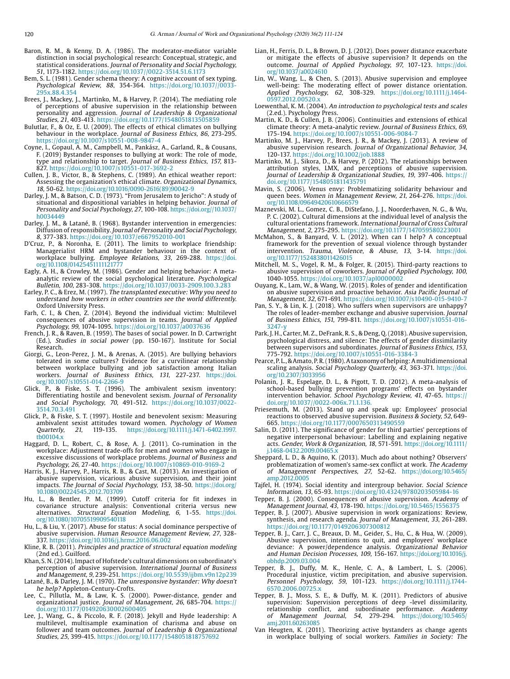- Baron, R. M., & Kenny, D. A. (1986). The moderator-mediator variable distinction in social psychological research: Conceptual, strategic, and statistical considerations. Journal of Personality and Social Psychology, 51, 1173-1182. https://doi.org/10.1037//0022-3514.51.6.1173
- Bem, S. L. (1981). Gender schema theory: A cognitive account of sex typing. Psychological Review, 88, 354-364. https://doi.org/10.1037//0033- 295x.88.4.354
- Brees, J., Mackey, J., Martinko, M., & Harvey, P. (2014). The mediating role of perceptions of abusive supervision in the relationship between personality and aggression. Journal of Leadership & Organizational Studies, 21, 403-413. https://doi.org/10.1177/1548051813505859
- Bulutlar, F., & Oz, E. U. (2009). The effects of ethical climates on bullying behaviour in the workplace. Journal of Business Ethics, 86, 273-295. https://doi.org/10.1007/s10551-008-9847-4
- Coyne, I., Gopaul, A. M., Campbell, M., Pankász, A., Garland, R., & Cousans, F. (2019) Bystander responses to bullying at work: The role of mode, type and relationship to target. Journal of Business Ethics, 157, 813- 827. https://doi.org/10.1007/s10551-017-3692-2
- Cullen, J. B., Victor, B., & Stephens, C. (1989). An ethical weather report: Assessing the organization's ethical climate. Organizational Dynamics, 18, 50-62. [https://doi.org/10.1016/0090-2616\(89\)90042-9](https://doi.org/10.1016/0090-2616(89)90042-9)
- Darley, J. M., & Batson, C. D. (1973). "From Jerusalem to Jericho": A study of situational and dispositional variables in helping behavior. Journal of Personality and Social Psychology, 27, 100-108. [https://doi.org//10.1037/](https://doi.org//10.1037/h0034449) [h0034449](https://doi.org//10.1037/h0034449)
- Darley, J. M., & Latané, B. (1968). Bystander intervention in emergencies: Diffusion of responsibility. Journal of Personality and Social Psychology, 8, 377-383. https://doi.org/10.1037/e667952010-001
- D'Cruz, P., & Noronha, E. (2011). The limits to workplace friendship: Managerialist HRM and bystander behaviour in the context of workplace bullying. *Employee Relations, 33,* 269-288. [https://doi.](https://doi.org/10.1108/01425451111121777) [org/10.1108/01425451111121777](https://doi.org/10.1108/01425451111121777)
- Eagly, A. H., & Crowley, M. (1986). Gender and helping behavior: A metaanalytic review of the social psychological literature. Psychological Bulletin, 100, 283-308. https://doi.org/10.1037/0033-2909.100.3.283
- Earley, P. C., & Erez, M. (1997). The transplanted executive: Why you need to understand how workers in other countries see the world differently. Oxford University Press.
- Farh, C. I., & Chen, Z. (2014). Beyond the individual victim: Multilevel consequences of abusive supervision in teams. Journal of Applied Psychology, 99, 1074-1095. https://doi.org/10.1037/a0037636
- French, J. R., & Raven, B. (1959). The bases of social power. In D. Cartwright (Ed.), Studies in social power (pp. 150-167). Institute for Social Research.
- Giorgi, G., Leon-Perez, J. M., & Arenas, A. (2015). Are bullying behaviors tolerated in some cultures? Evidence for a curvilinear relationship between workplace bullying and job satisfaction among Italian workers. *Journal of Business Ethics, 131,* 227-237. [https://doi.](https://doi.org/10.1007/s10551-014-2266-9) [org/10.1007/s10551-014-2266-9](https://doi.org/10.1007/s10551-014-2266-9)<br>Glick. P., & Fiske. S. T. (1996)
- P., & Fiske, S. T. (1996). The ambivalent sexism inventory: Differentiating hostile and benevolent sexism. Journal of Personality and Social Psychology, 70, 491-512. https://doi.org/10.1037/0022- 3514.70.3.491
- Glick, P., & Fiske, S. T. (1997). Hostile and benevolent sexism: Measuring ambivalent sexist attitudes toward women. Psychology of Women<br>Quarterly, 21, 119-135. https://doi.org/10.1111/j.1471-6402.1997. Quarterly, 21, 119-135. [https://doi.org/10.1111/j.1471-6402.1997.](https://doi.org/10.1111/j.1471-6402.1997.tb00104.x) [tb00104.x](https://doi.org/10.1111/j.1471-6402.1997.tb00104.x)
- Haggard, D. L., Robert, C., & Rose, A. J. (2011). Co-rumination in the workplace: Adjustment trade-offs for men and women who engage in excessive discussions of workplace problems. Journal of Business and Psychology, 26, 27-40. https://doi.org/10.1007/s10869-010-9169-2
- Harris, K. J., Harvey, P., Harris, R. B., & Cast, M. (2013). An investigation of abusive supervision, vicarious abusive supervision, and their joint impacts. The Journal of Social Psychology, 153, 38-50. [https://doi.org/](https://doi.org/10.1080/00224545.2012.703709) [10.1080/00224545.2012.703709](https://doi.org/10.1080/00224545.2012.703709)
- Hu, L., & Bentler, P. M. (1999). Cutoff criteria for fit indexes in covariance structure analysis: Conventional criteria versus new alternatives. Structural Equation Modeling, 6, 1-55. [https://doi.](https://doi.org/10.1080/10705519909540118) [org/10.1080/10705519909540118](https://doi.org/10.1080/10705519909540118)
- Hu, L., & Liu, Y. (2017). Abuse for status: A social dominance perspective of abusive supervision. Human Resource Management Review, 27, 328- 337. https://doi.org/10.1016/j.hrmr.2016.06.002
- Kline, R. B. (2011). Principles and practice of structural equation modeling (2nd ed.). Guilford.
- Khan, S. N. (2014). Impact of Hofstede's cultural dimensions on subordinate's perception of abusive supervision. International Journal of Business and Management, 9, 239-251. https://doi.org/10.5539/ijbm.v9n12p239
- Latané, B., & Darley, J. M. (1970). The unresponsive bystander: Why doesn't he help? Appleton-Century-Crofts.
- Lee, C., Pillutla, M., & Law, K. S. (2000). Power-distance, gender and organizational justice. Journal of Management, 26, 685-704. [https://](https://doi.org/10.1177/014920630002600405) [doi.org/10.1177/014920630002600405](https://doi.org/10.1177/014920630002600405)
- Lee, J., Wang, G., & Piccolo, R. F. (2018). Jekyll and Hyde leadership: A multilevel, multisample examination of charisma and abuse on follower and team outcomes. Journal of Leadership & Organizational Studies, 25, 399-415. https://doi.org/10.1177/1548051818757692
- Lian, H., Ferris, D. L., & Brown, D. J. (2012). Does power distance exacerbate or mitigate the effects of abusive supervision? It depends on the outcome. Journal of Applied Psychology, 97, 107-123. [https://doi.](https://doi.org/10.1037/a0024610) [org/10.1037/a0024610](https://doi.org/10.1037/a0024610)
- Lin, W., Wang, L., & Chen, S. (2013). Abusive supervision and employee well-being: The moderating effect of power distance orientation. Applied Psychology, 62, 308-329. https://doi.org/10.1111/j.1464-  $0597.2012.00520.$
- Loewenthal, K. M. (2004). An introduction to psychological tests and scales (2.ed.). Psychology Press.
- Martin, K. D., & Cullen, J. B. (2006). Continuities and extensions of ethical climate theory: A meta-analytic review. Journal of Business Ethics, 69, 175-194. https://doi.org/10.1007/s10551-006-9084-7
- Martinko, M. J., Harvey, P., Brees, J. R., & Mackey, J. (2013). A review of abusive supervision research. Journal of Organizational Behavior, 34, 120-137. https://doi.org/10.1002/job.1888
- Martinko, M. J., Sikora, D., & Harvey, P. (2012). The relationships between attribution styles, LMX, and perceptions of abusive supervision. Journal of Leadership & Organizational Studies, 19, 397-406. https:// doi.org/10.1177/1548051811435791
- Mavin, S. (2006). Venus envy: Problematizing solidarity behaviour and queen bees. Women in Management Review, 21, 264-276. [https://doi.](https://doi.org/10.1108/09649420610666579) [org/10.1108/09649420610666579](https://doi.org/10.1108/09649420610666579)
- Maznevski, M. L., Gomez, C. B., DiStefano, J. J., Noorderhaven, N. G., & Wu, P. C. (2002). Cultural dimensions at the individual level of analysis the cultural orientations framework. International Journal of Cross Cultural Management, 2, 275-295. https://doi.org/10.1177/147059580223001
- McMahon, S., & Banyard, V. L. (2012). When can I help? A conceptual framework for the prevention of sexual violence through bystander intervention. Trauma, Violence, & Abuse, 13, 3-14. [https://doi.](https://doi.org/10.1177/1524838011426015) [org/10.1177/1524838011426015](https://doi.org/10.1177/1524838011426015)
- Mitchell, M. S., Vogel, R. M., & Folger, R. (2015). Third-party reactions to abusive supervision of coworkers. Journal of Applied Psychology, 100, 1040-1055. https://doi.org/10.1037/apl0000002
- Ouyang, K., Lam, W., & Wang, W. (2015). Roles of gender and identification on abusive supervision and proactive behavior. Asia Pacific Journal of Management, 32, 671-691. https://doi.org/10.1007/s10490-015-9410-7
- Pan, S. Y., & Lin, K. J. (2018). Who suffers when supervisors are unhappy? The roles of leader-member exchange and abusive supervision. Journal of Business Ethics, 151, 799-811. https://doi.org/10.1007/s10551-016-  $3247 - y$
- Park, J. H., Carter, M. Z., DeFrank, R. S., & Deng, Q. (2018). Abusive supervision, psychological distress, and silence: The effects of gender dissimilarity between supervisors and subordinates. Journal of Business Ethics, 153, 775-792. https://doi.org/10.1007/s10551-016-3384-3
- Pearce, P. L., & Amato, P. R. (1980). A taxonomy of helping: A multidimensional scaling analysis. Social Psychology Quarterly, 43, 363-371. [https://doi.](https://doi.org/10.2307/3033956) [org/10.2307/3033956](https://doi.org/10.2307/3033956)
- Polanin, J. R., Espelage, D. L., & Pigott, T. D. (2012). A meta-analysis of school-based bullying prevention programs' effects on bystander intervention behavior. School Psychology Review, 41, 47-65. https:// doi.org/10.1037//0022-006x.71.1.136.
- Priesemuth, M. (2013). Stand up and speak up: Employees' prosocial reactions to observed abusive supervision. Business & Society, 52, 649- 665. https://doi.org/10.1177/0007650313490559
- Salin, D. (2011). The significance of gender for third parties' perceptions of negative interpersonal behaviour: Labelling and explaining negative acts. Gender, Work & Organization, 18, 571-591. [https://doi.org/10.1111/](https://doi.org/10.1111/j.1468-0432.2009.00465.x) [j.1468-0432.2009.00465.x](https://doi.org/10.1111/j.1468-0432.2009.00465.x)
- Sheppard, L. D., & Aquino, K. (2013). Much ado about nothing? Observers' problematization of women's same-sex conflict at work. The Academy of Management Perspectives, 27, 52-62. [https://doi.org/10.5465/](https://doi.org/10.5465/amp.2012.0005) [amp.2012.0005](https://doi.org/10.5465/amp.2012.0005)
- Tajfel, H. (1974). Social identity and intergroup behavior. Social Science Information, 13, 65-93. https://doi.org/10.4324/9780203505984-16
- Tepper, B. J. (2000). Consequences of abusive supervision. Academy of Management Journal, 43, 178-190. <https://doi.org/10.5465/1556375>
- Tepper, B. J. (2007). Abusive supervision in work organizations: Review, synthesis, and research agenda. Journal of Management, 33, 261-289. https://doi.org/10.1177/0149206307300812
- Tepper, B. J., Carr, J. C., Breaux, D. M., Geider, S., Hu, C., & Hua, W. (2009). Abusive supervision, intentions to quit, and employees' workplace deviance: A power/dependence analysis. Organizational Behavior and Human Decision Processes, 109, 156-167. [https://doi.org/10.1016/j.](https://doi.org/10.1016/j.obhdp.2009.03.004) [obhdp.2009.03.004](https://doi.org/10.1016/j.obhdp.2009.03.004)
- Tepper, B. J., Duffy, M. K., Henle, C. A., & Lambert, L. S. (2006). Procedural injustice, victim precipitation, and abusive supervision. Personnel Psychology, 59, 101-123. https://doi.org/10.1111/j.1744- 6570.2006.00725.x
- Tepper, B. J., Moss, S. E., & Duffy, M. K. (2011). Predictors of abusive supervision: Supervision perceptions of deep -level dissimilarity, relationship conflict, and subordinate performance. Academy of Management Journal, 54, 279-294. [https://doi.org/10.5465/](https://doi.org/10.5465/amj.2011.60263085) [amj.2011.60263085](https://doi.org/10.5465/amj.2011.60263085)
- Van Heugten, K. (2011). Theorizing active bystanders as change agents in workplace bullying of social workers. Families in Society: The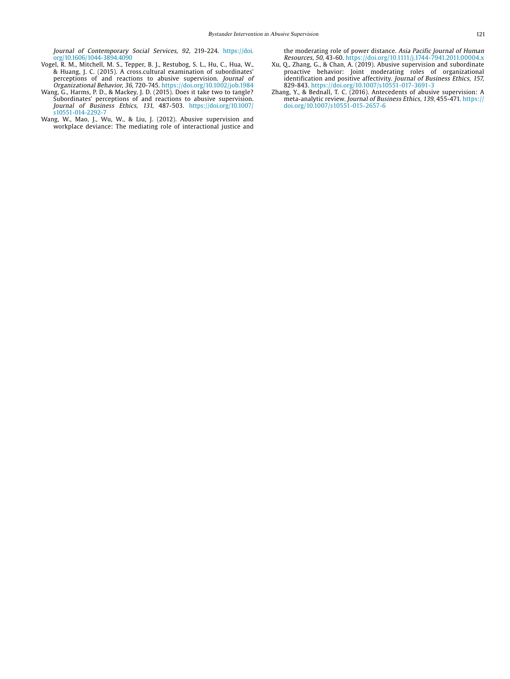Journal of Contemporary Social Services, 92, 219-224. [https://doi.](https://doi.org/10.1606/1044-3894.4090
) [org/10.1606/1044-3894.4090](https://doi.org/10.1606/1044-3894.4090
)

- Vogel, R. M., Mitchell, M. S., Tepper, B. J., Restubog, S. L., Hu, C., Hua, W., & Huang, J. C. (2015). A cross.cultural examination of subordinates' perceptions of and reactions to abusive supervision. Journal of Organizational Behavior, 36, 720-745. https://doi.org/10.1002/job.1984
- Wang, G., Harms, P. D., & Mackey, J. D. (2015). Does it take two to tangle? Subordinates' perceptions of and reactions to abusive supervision. Journal of Business Ethics, 131, 487-503. [https://doi.org/10.1007/](https://doi.org/10.1007/s10551-014-2292-) [s10551-014-2292-7](https://doi.org/10.1007/s10551-014-2292-)
- Wang, W., Mao, J., Wu, W., & Liu, J. (2012). Abusive supervision and workplace deviance: The mediating role of interactional justice and

the moderating role of power distance. Asia Pacific Journal of Human Resources, 50, 43-60. https://doi.org/10.1111/j.1744-7941.2011.00004.x

- Xu, Q., Zhang, G., & Chan, A. (2019). Abusive supervision and subordinate proactive behavior: Joint moderating roles of organizational identification and positive affectivity. Journal of Business Ethics, 157, 829-843. https://doi.org/10.1007/s10551-017-3691-3
- Zhang, Y., & Bednall, T. C. (2016). Antecedents of abusive supervision: A meta-analytic review. Journal of Business Ethics, 139, 455-471. https:// doi.org/10.1007/s10551-015-2657-6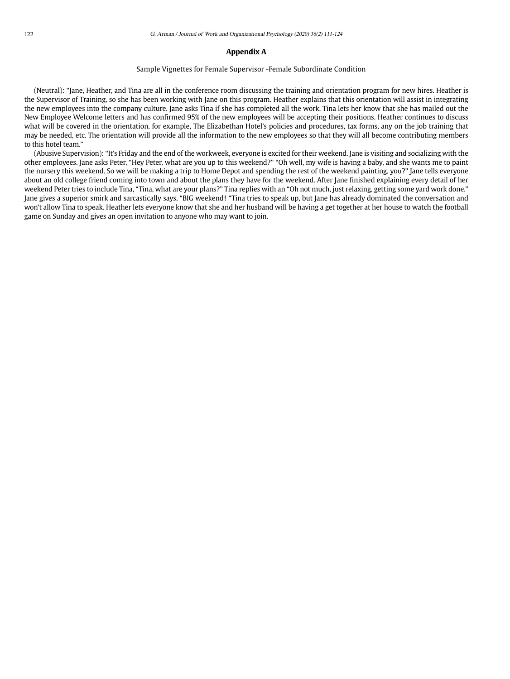# **Appendix A**

#### Sample Vignettes for Female Supervisor -Female Subordinate Condition

(Neutral): "Jane, Heather, and Tina are all in the conference room discussing the training and orientation program for new hires. Heather is the Supervisor of Training, so she has been working with Jane on this program. Heather explains that this orientation will assist in integrating the new employees into the company culture. Jane asks Tina if she has completed all the work. Tina lets her know that she has mailed out the New Employee Welcome letters and has confirmed 95% of the new employees will be accepting their positions. Heather continues to discuss what will be covered in the orientation, for example, The Elizabethan Hotel's policies and procedures, tax forms, any on the job training that may be needed, etc. The orientation will provide all the information to the new employees so that they will all become contributing members to this hotel team."

(Abusive Supervision): "It's Friday and the end of the workweek, everyone is excited for their weekend. Jane is visiting and socializing with the other employees. Jane asks Peter, "Hey Peter, what are you up to this weekend?" "Oh well, my wife is having a baby, and she wants me to paint the nursery this weekend. So we will be making a trip to Home Depot and spending the rest of the weekend painting, you?" Jane tells everyone about an old college friend coming into town and about the plans they have for the weekend. After Jane finished explaining every detail of her weekend Peter tries to include Tina, "Tina, what are your plans?" Tina replies with an "Oh not much, just relaxing, getting some yard work done." Jane gives a superior smirk and sarcastically says, "BIG weekend! "Tina tries to speak up, but Jane has already dominated the conversation and won't allow Tina to speak. Heather lets everyone know that she and her husband will be having a get together at her house to watch the football game on Sunday and gives an open invitation to anyone who may want to join.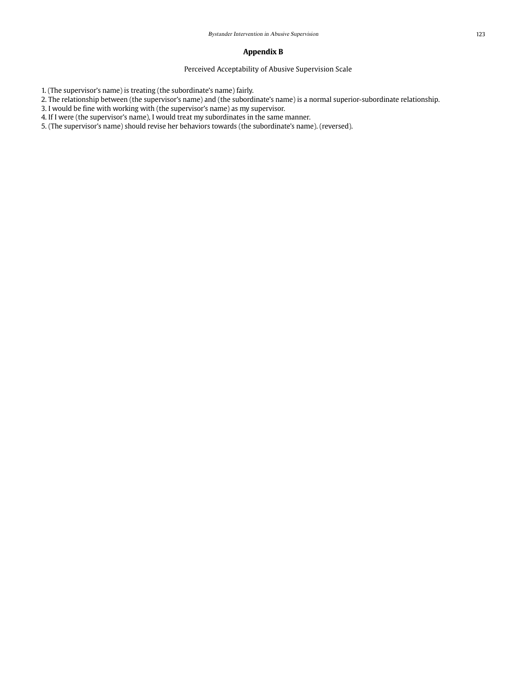# **Appendix B**

Perceived Acceptability of Abusive Supervision Scale

1. (The supervisor's name) is treating (the subordinate's name) fairly.

2. The relationship between (the supervisor's name) and (the subordinate's name) is a normal superior-subordinate relationship.

3. I would be fine with working with (the supervisor's name) as my supervisor.

4. If I were (the supervisor's name), I would treat my subordinates in the same manner.

5. (The supervisor's name) should revise her behaviors towards (the subordinate's name). (reversed).